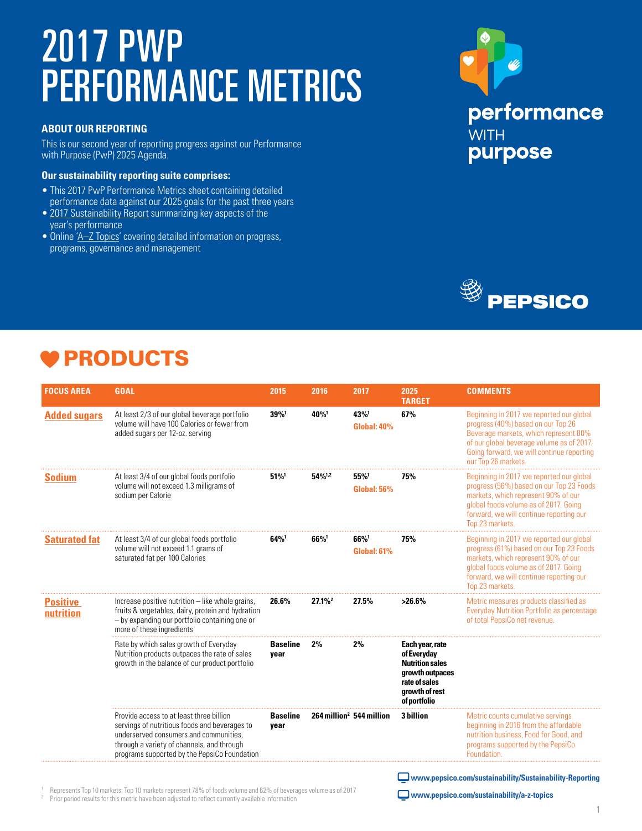# 2017 PWP PERFORMANCE METRICS

#### **ABOUT OUR REPORTING**

This is our second year of reporting progress against our Performance with Purpose (PwP) 2025 Agenda.

#### **Our sustainability reporting suite comprises:**

- This 2017 PwP Performance Metrics sheet containing detailed performance data against our 2025 goals for the past three years
- [2017 Sustainability Report](http://www.pepsico.com/sustainability/Sustainability-Reporting) summarizing key aspects of the year's performance
- Online 'A-Z Topics' covering detailed information on progress, programs, governance and management





## PRODUCTS

| <b>FOCUS AREA</b>            | <b>GOAL</b>                                                                                                                                                                                                                       | 2015                    | 2016                                 | 2017                         | 2025<br><b>TARGET</b>                                                                                                          | <b>COMMENTS</b>                                                                                                                                                                                                                          |
|------------------------------|-----------------------------------------------------------------------------------------------------------------------------------------------------------------------------------------------------------------------------------|-------------------------|--------------------------------------|------------------------------|--------------------------------------------------------------------------------------------------------------------------------|------------------------------------------------------------------------------------------------------------------------------------------------------------------------------------------------------------------------------------------|
| <b>Added sugars</b>          | At least 2/3 of our global beverage portfolio<br>volume will have 100 Calories or fewer from<br>added sugars per 12-oz. serving                                                                                                   | 39%1                    | 40%                                  | 43%<br><b>Global: 40%</b>    | 67%                                                                                                                            | Beginning in 2017 we reported our global<br>progress (40%) based on our Top 26<br>Beverage markets, which represent 80%<br>of our global beverage volume as of 2017.<br>Going forward, we will continue reporting<br>our Top 26 markets. |
| <b>Sodium</b>                | At least 3/4 of our global foods portfolio<br>volume will not exceed 1.3 milligrams of<br>sodium per Calorie                                                                                                                      | 51%                     | 54%1,2                               | $55\%$<br><b>Global: 56%</b> | 75%                                                                                                                            | Beginning in 2017 we reported our global<br>progress (56%) based on our Top 23 Foods<br>markets, which represent 90% of our<br>global foods volume as of 2017. Going<br>forward, we will continue reporting our<br>Top 23 markets.       |
| <b>Saturated fat</b>         | At least 3/4 of our global foods portfolio<br>volume will not exceed 1.1 grams of<br>saturated fat per 100 Calories                                                                                                               | 64%                     | 66%                                  | 66%<br><b>Global: 61%</b>    | 75%                                                                                                                            | Beginning in 2017 we reported our global<br>progress (61%) based on our Top 23 Foods<br>markets, which represent 90% of our<br>global foods volume as of 2017. Going<br>forward, we will continue reporting our<br>Top 23 markets.       |
| <b>Positive</b><br>nutrition | Increase positive nutrition - like whole grains,<br>fruits & vegetables, dairy, protein and hydration<br>- by expanding our portfolio containing one or<br>more of these ingredients                                              | 26.6%                   | $27.1\%$ <sup>2</sup>                | 27.5%                        | $>26.6\%$                                                                                                                      | Metric measures products classified as<br><b>Everyday Nutrition Portfolio as percentage</b><br>of total PepsiCo net revenue.                                                                                                             |
|                              | Rate by which sales growth of Everyday<br>Nutrition products outpaces the rate of sales<br>growth in the balance of our product portfolio                                                                                         | <b>Baseline</b><br>year | 2%                                   | 2%                           | Each year, rate<br>of Everyday<br><b>Nutrition sales</b><br>growth outpaces<br>rate of sales<br>growth of rest<br>of portfolio |                                                                                                                                                                                                                                          |
|                              | Provide access to at least three billion<br>servings of nutritious foods and beverages to<br>underserved consumers and communities.<br>through a variety of channels, and through<br>programs supported by the PepsiCo Foundation | <b>Baseline</b><br>year | 264 million <sup>2</sup> 544 million |                              | 3 billion                                                                                                                      | Metric counts cumulative servings<br>beginning in 2016 from the affordable<br>nutrition business. Food for Good, and<br>programs supported by the PepsiCo                                                                                |
|                              |                                                                                                                                                                                                                                   |                         |                                      |                              |                                                                                                                                |                                                                                                                                                                                                                                          |

<sup>1</sup> Represents Top 10 markets. Top 10 markets represent 78% of foods volume and 62% of beverages volume as of 2017  $2$  Prior period results for this metric have been adjusted to reflect currently available information

 **www.pepsico.com/sustainability/Sustainability-Reporting**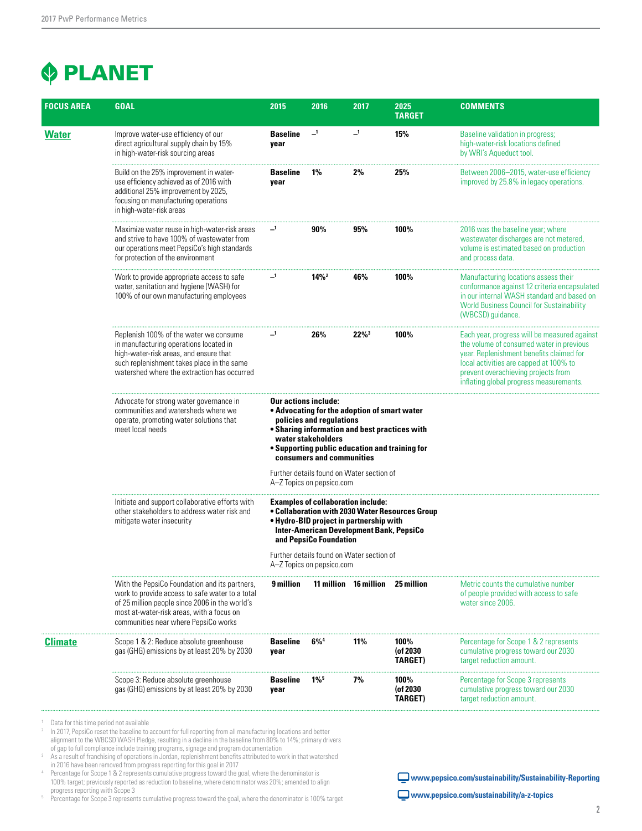### **PLANET**

| <b>FOCUS AREA</b> | <b>GOAL</b>                                                                                                                                                                                                                             | 2015                                                                                                                                                                                                                                                          | 2016                                                                   | 2017                     | 2025<br><b>TARGET</b>              | <b>COMMENTS</b>                                                                                                                                                                                                                                                  |  |  |  |
|-------------------|-----------------------------------------------------------------------------------------------------------------------------------------------------------------------------------------------------------------------------------------|---------------------------------------------------------------------------------------------------------------------------------------------------------------------------------------------------------------------------------------------------------------|------------------------------------------------------------------------|--------------------------|------------------------------------|------------------------------------------------------------------------------------------------------------------------------------------------------------------------------------------------------------------------------------------------------------------|--|--|--|
| <b>Water</b>      | Improve water-use efficiency of our<br>direct agricultural supply chain by 15%<br>in high-water-risk sourcing areas                                                                                                                     | <b>Baseline</b><br>year                                                                                                                                                                                                                                       | $\mathbf{I}$                                                           | $\overline{\phantom{0}}$ | 15%                                | Baseline validation in progress;<br>high-water-risk locations defined<br>by WRI's Aqueduct tool.                                                                                                                                                                 |  |  |  |
|                   | Build on the 25% improvement in water-<br>use efficiency achieved as of 2016 with<br>additional 25% improvement by 2025,<br>focusing on manufacturing operations<br>in high-water-risk areas                                            | <b>Baseline</b><br>year                                                                                                                                                                                                                                       | $1\%$                                                                  | 2%                       | 25%                                | Between 2006–2015, water-use efficiency<br>improved by 25.8% in legacy operations.                                                                                                                                                                               |  |  |  |
|                   | Maximize water reuse in high-water-risk areas<br>and strive to have 100% of wastewater from<br>our operations meet PepsiCo's high standards<br>for protection of the environment                                                        | $\overline{\phantom{0}}$ 1                                                                                                                                                                                                                                    | 90%                                                                    | 95%                      | 100%                               | 2016 was the baseline year; where<br>wastewater discharges are not metered,<br>volume is estimated based on production<br>and process data.                                                                                                                      |  |  |  |
|                   | Work to provide appropriate access to safe<br>water, sanitation and hygiene (WASH) for<br>100% of our own manufacturing employees                                                                                                       | $\overline{\phantom{0}}$                                                                                                                                                                                                                                      | $14\%$ <sup>2</sup>                                                    | 46%                      | 100%                               | Manufacturing locations assess their<br>conformance against 12 criteria encapsulated<br>in our internal WASH standard and based on<br><b>World Business Council for Sustainability</b><br>(WBCSD) guidance.                                                      |  |  |  |
|                   | Replenish 100% of the water we consume<br>in manufacturing operations located in<br>high-water-risk areas, and ensure that<br>such replenishment takes place in the same<br>watershed where the extraction has occurred                 | _1                                                                                                                                                                                                                                                            | 26%                                                                    | $22\%$ <sup>3</sup>      | 100%                               | Each year, progress will be measured against<br>the volume of consumed water in previous<br>year. Replenishment benefits claimed for<br>local activities are capped at 100% to<br>prevent overachieving projects from<br>inflating global progress measurements. |  |  |  |
|                   | Advocate for strong water governance in<br>communities and watersheds where we<br>operate, promoting water solutions that<br>meet local needs                                                                                           | <b>Our actions include:</b><br>• Advocating for the adoption of smart water<br>policies and regulations<br>. Sharing information and best practices with<br>water stakeholders<br>. Supporting public education and training for<br>consumers and communities |                                                                        |                          |                                    |                                                                                                                                                                                                                                                                  |  |  |  |
|                   |                                                                                                                                                                                                                                         |                                                                                                                                                                                                                                                               | Further details found on Water section of<br>A-Z Topics on pepsico.com |                          |                                    |                                                                                                                                                                                                                                                                  |  |  |  |
|                   | Initiate and support collaborative efforts with<br>other stakeholders to address water risk and<br>mitigate water insecurity                                                                                                            | <b>Examples of collaboration include:</b><br>. Collaboration with 2030 Water Resources Group<br>. Hydro-BID project in partnership with<br><b>Inter-American Development Bank, PepsiCo</b><br>and PepsiCo Foundation                                          |                                                                        |                          |                                    |                                                                                                                                                                                                                                                                  |  |  |  |
|                   |                                                                                                                                                                                                                                         | Further details found on Water section of<br>A-Z Topics on pepsico.com                                                                                                                                                                                        |                                                                        |                          |                                    |                                                                                                                                                                                                                                                                  |  |  |  |
|                   | With the PepsiCo Foundation and its partners,<br>work to provide access to safe water to a total<br>of 25 million people since 2006 in the world's<br>most at-water-risk areas, with a focus on<br>communities near where PepsiCo works | 9 million                                                                                                                                                                                                                                                     |                                                                        | 11 million 16 million    | 25 million                         | Metric counts the cumulative number<br>of people provided with access to safe<br>water since 2006.                                                                                                                                                               |  |  |  |
| Climate           | Scope 1 & 2: Reduce absolute greenhouse<br>gas (GHG) emissions by at least 20% by 2030                                                                                                                                                  | <b>Baseline</b><br>year                                                                                                                                                                                                                                       | $6\%^4$                                                                | 11%                      | 100%<br>(of 2030<br><b>TARGET)</b> | Percentage for Scope 1 & 2 represents<br>cumulative progress toward our 2030<br>target reduction amount.                                                                                                                                                         |  |  |  |
|                   | Scope 3: Reduce absolute greenhouse<br>gas (GHG) emissions by at least 20% by 2030                                                                                                                                                      | <b>Baseline</b><br>year                                                                                                                                                                                                                                       | $1\%$ <sup>5</sup>                                                     | 7%                       | 100%<br>(of 2030<br>TARGET)        | Percentage for Scope 3 represents<br>cumulative progress toward our 2030<br>target reduction amount.                                                                                                                                                             |  |  |  |

<sup>1</sup> Data for this time period not available<br><sup>2</sup> In 2017 Pensi<sup>n</sup>o reset the baseline to a

<sup>2</sup> In 2017, PepsiCo reset the baseline to account for full reporting from all manufacturing locations and better alignment to the WBCSD WASH Pledge, resulting in a decline in the baseline from 80% to 14%; primary drivers of gap to full compliance include training programs, signage and program documentation

<sup>3</sup> As a result of franchising of operations in Jordan, replenishment benefits attributed to work in that watershed

in 2016 have been removed from progress reporting for this goal in 2017 <sup>4</sup> Percentage for Scope 1 & 2 represents cumulative progress toward the goal, where the denominator is 100% target; previously reported as reduction to baseline, where denominator was 20%; amended to align

progress reporting with Scope 3<br>Percentage for Scope 3 represents cumulative progress toward the goal, where the denominator is 100% target 5

 **www.pepsico.com/sustainability/Sustainability-Reporting**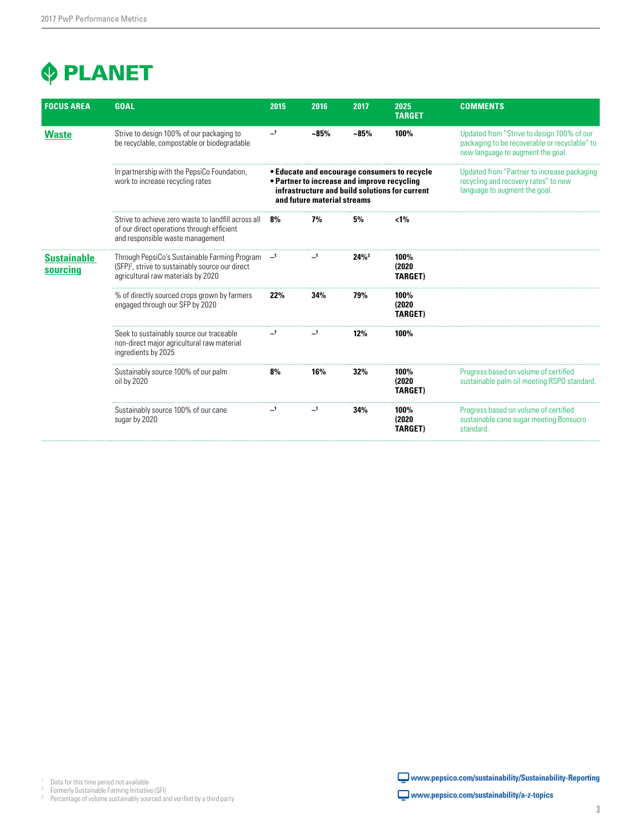### **PLANET**

| <b>FOCUS AREA</b>              | <b>GOAL</b>                                                                                                                                         | 2015                       | 2016                                                                       | 2017                | 2025<br><b>TARGET</b>                                                                          | <b>COMMENTS</b>                                                                                                                  |
|--------------------------------|-----------------------------------------------------------------------------------------------------------------------------------------------------|----------------------------|----------------------------------------------------------------------------|---------------------|------------------------------------------------------------------------------------------------|----------------------------------------------------------------------------------------------------------------------------------|
| <b>Waste</b>                   | Strive to design 100% of our packaging to<br>be recyclable, compostable or biodegradable                                                            | $\overline{\phantom{0}}$ 1 | $~10-85%$                                                                  | $~1.85\%$           | 100%                                                                                           | Updated from "Strive to design 100% of our<br>packaging to be recoverable or recyclable" to<br>new language to augment the goal. |
|                                | In partnership with the PepsiCo Foundation,<br>work to increase recycling rates                                                                     |                            | • Partner to increase and improve recycling<br>and future material streams |                     | • Educate and encourage consumers to recycle<br>infrastructure and build solutions for current | Updated from "Partner to increase packaging<br>recycling and recovery rates" to new<br>language to augment the goal.             |
|                                | Strive to achieve zero waste to landfill across all<br>of our direct operations through efficient<br>and responsible waste management               | 8%                         | 7%                                                                         | 5%                  | $< 1\%$                                                                                        |                                                                                                                                  |
| <b>Sustainable</b><br>sourcing | Through PepsiCo's Sustainable Farming Program<br>(SFP) <sup>2</sup> , strive to sustainably source our direct<br>agricultural raw materials by 2020 |                            |                                                                            | $24\%$ <sup>3</sup> | 100%<br>(2020)<br><b>TARGET)</b>                                                               |                                                                                                                                  |
|                                | % of directly sourced crops grown by farmers<br>engaged through our SFP by 2020                                                                     | 22%                        | 34%                                                                        | 79%                 | 100%<br>(2020)<br><b>TARGET)</b>                                                               |                                                                                                                                  |
|                                | Seek to sustainably source our traceable<br>non-direct major agricultural raw material<br>ingredients by 2025                                       |                            |                                                                            | 12%                 | 100%                                                                                           |                                                                                                                                  |
|                                | Sustainably source 100% of our palm<br>oil by 2020                                                                                                  | 8%                         | 16%                                                                        | 32%                 | 100%<br>(2020)<br><b>TARGET)</b>                                                               | Progress based on volume of certified<br>sustainable palm oil meeting RSPO standard.                                             |
|                                | Sustainably source 100% of our cane<br>sugar by 2020                                                                                                |                            |                                                                            | 34%                 | 100%<br>(2020)<br><b>TARGET)</b>                                                               | Progress based on volume of certified<br>sustainable cane sugar meeting Bonsucro<br>standard.                                    |

<sup>3</sup> Percentage of volume sustainably sourced and verified by a third party

 **www.pepsico.com/sustainability/Sustainability-Reporting**